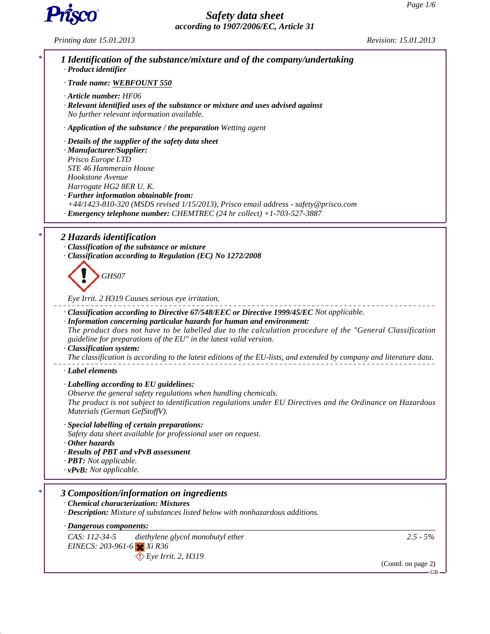

*Printing date 15.01.2013 Revision: 15.01.2013*

| * | 1 Identification of the substance/mixture and of the company/undertaking<br>· Product identifier                                                                                                                                                                                                                                                                                                                                                                                                           |
|---|------------------------------------------------------------------------------------------------------------------------------------------------------------------------------------------------------------------------------------------------------------------------------------------------------------------------------------------------------------------------------------------------------------------------------------------------------------------------------------------------------------|
|   | · Trade name: WEBFOUNT 550                                                                                                                                                                                                                                                                                                                                                                                                                                                                                 |
|   | · Article number: HF06<br>· Relevant identified uses of the substance or mixture and uses advised against<br>No further relevant information available.                                                                                                                                                                                                                                                                                                                                                    |
|   | $\cdot$ Application of the substance / the preparation Wetting agent                                                                                                                                                                                                                                                                                                                                                                                                                                       |
|   | $\cdot$ Details of the supplier of the safety data sheet<br>· Manufacturer/Supplier:<br>Prisco Europe LTD<br><b>STE 46 Hammerain House</b><br>Hookstone Avenue<br>Harrogate HG2 8ER U.K.<br>· Further information obtainable from:<br>+44/1423-810-320 (MSDS revised 1/15/2013), Prisco email address - safety@prisco.com<br>Emergency telephone number: CHEMTREC (24 hr collect) +1-703-527-3887                                                                                                          |
| * | 2 Hazards identification                                                                                                                                                                                                                                                                                                                                                                                                                                                                                   |
|   | · Classification of the substance or mixture<br>· Classification according to Regulation (EC) No 1272/2008                                                                                                                                                                                                                                                                                                                                                                                                 |
|   | GHS07                                                                                                                                                                                                                                                                                                                                                                                                                                                                                                      |
|   | Eye Irrit. 2 H319 Causes serious eye irritation.                                                                                                                                                                                                                                                                                                                                                                                                                                                           |
|   | - Classification according to Directive 67/548/EEC or Directive 1999/45/EC Not applicable.<br>· Information concerning particular hazards for human and environment:<br>The product does not have to be labelled due to the calculation procedure of the "General Classification<br>guideline for preparations of the EU" in the latest valid version.<br>· Classification system:<br>The classification is according to the latest editions of the EU-lists, and extended by company and literature data. |
|   | · Label elements                                                                                                                                                                                                                                                                                                                                                                                                                                                                                           |
|   | · Labelling according to EU guidelines:<br>Observe the general safety regulations when handling chemicals.<br>The product is not subject to identification regulations under EU Directives and the Ordinance on Hazardous<br>Materials (German GefStoffV).                                                                                                                                                                                                                                                 |
|   | · Special labelling of certain preparations:<br>Safety data sheet available for professional user on request.<br>· Other hazards<br>· Results of PBT and vPvB assessment<br>· PBT: Not applicable.<br>$\cdot$ vPvB: Not applicable.                                                                                                                                                                                                                                                                        |
| ∗ | 3 Composition/information on ingredients                                                                                                                                                                                                                                                                                                                                                                                                                                                                   |
|   | <b>Chemical characterization: Mixtures</b><br>· Description: Mixture of substances listed below with nonhazardous additions.                                                                                                                                                                                                                                                                                                                                                                               |
|   | · Dangerous components:                                                                                                                                                                                                                                                                                                                                                                                                                                                                                    |
|   | CAS: 112-34-5<br>$2.5 - 5\%$<br>diethylene glycol monobutyl ether<br>EINECS: 203-961-6 $\times$ Xi R36<br>$\bigcirc$ Eye Irrit. 2, H319                                                                                                                                                                                                                                                                                                                                                                    |
|   | (Contd. on page 2)<br>$GB -$                                                                                                                                                                                                                                                                                                                                                                                                                                                                               |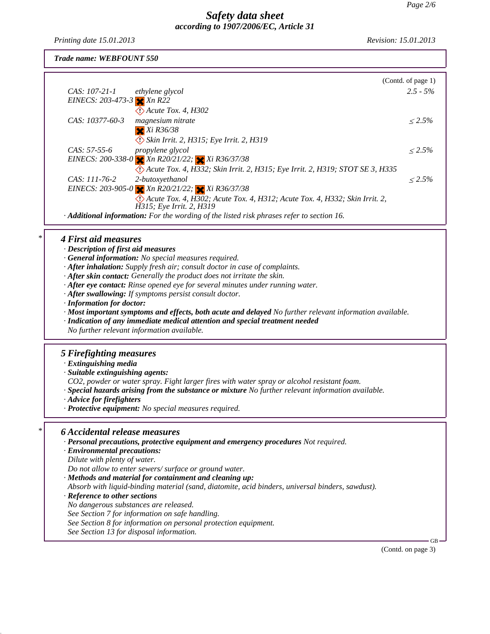*Printing date 15.01.2013 Revision: 15.01.2013*

*Trade name: WEBFOUNT 550*

|                                                                                                        |                                                                              | (Contd. of page 1) |  |  |  |  |
|--------------------------------------------------------------------------------------------------------|------------------------------------------------------------------------------|--------------------|--|--|--|--|
| CAS: 107-21-1                                                                                          | ethylene glycol                                                              | $2.5 - 5\%$        |  |  |  |  |
| EINECS: $203-473-3$ $\times$ Xn R22                                                                    |                                                                              |                    |  |  |  |  |
|                                                                                                        | $\langle \cdot \rangle$ Acute Tox. 4, H302                                   |                    |  |  |  |  |
| CAS: 10377-60-3                                                                                        | magnesium nitrate                                                            | $< 2.5\%$          |  |  |  |  |
|                                                                                                        | $X$ $Xi$ $R36/38$                                                            |                    |  |  |  |  |
|                                                                                                        | Skin Irrit. 2, H315; Eye Irrit. 2, H319                                      |                    |  |  |  |  |
| $CAS: 57-55-6$                                                                                         | <i>propylene glycol</i>                                                      | $< 2.5\%$          |  |  |  |  |
|                                                                                                        | EINECS: 200-338-0 $\times$ Xn R20/21/22; $\times$ Xi R36/37/38               |                    |  |  |  |  |
|                                                                                                        | Acute Tox. 4, H332; Skin Irrit. 2, H315; Eye Irrit. 2, H319; STOT SE 3, H335 |                    |  |  |  |  |
| CAS: 111-76-2                                                                                          | 2-butoxyethanol                                                              | $< 2.5\%$          |  |  |  |  |
|                                                                                                        | EINECS: 203-905-0 $\times$ Xn R20/21/22; $\times$ Xi R36/37/38               |                    |  |  |  |  |
|                                                                                                        | Acute Tox. 4, H302; Acute Tox. 4, H312; Acute Tox. 4, H332; Skin Irrit. 2,   |                    |  |  |  |  |
|                                                                                                        | H315; Eye Irrit. 2, H319                                                     |                    |  |  |  |  |
| $\cdot$ <b>Additional information:</b> For the wording of the listed risk phrases refer to section 16. |                                                                              |                    |  |  |  |  |
|                                                                                                        |                                                                              |                    |  |  |  |  |

# *\* 4 First aid measures*

- *· Description of first aid measures*
- *· General information: No special measures required.*
- *· After inhalation: Supply fresh air; consult doctor in case of complaints.*
- *· After skin contact: Generally the product does not irritate the skin.*
- *· After eye contact: Rinse opened eye for several minutes under running water.*
- *· After swallowing: If symptoms persist consult doctor.*
- *· Information for doctor:*
- *· Most important symptoms and effects, both acute and delayed No further relevant information available.*
- *· Indication of any immediate medical attention and special treatment needed*
- *No further relevant information available.*

# *5 Firefighting measures*

- *· Extinguishing media*
- *· Suitable extinguishing agents:*
- *CO2, powder or water spray. Fight larger fires with water spray or alcohol resistant foam.*
- *· Special hazards arising from the substance or mixture No further relevant information available.*
- *· Advice for firefighters*
- *· Protective equipment: No special measures required.*

# *\* 6 Accidental release measures*

- *· Personal precautions, protective equipment and emergency procedures Not required.*
- *· Environmental precautions:*
- *Dilute with plenty of water.*
- *Do not allow to enter sewers/ surface or ground water.*
- *· Methods and material for containment and cleaning up:*
- *Absorb with liquid-binding material (sand, diatomite, acid binders, universal binders, sawdust).*
- *· Reference to other sections*
- *No dangerous substances are released.*
- *See Section 7 for information on safe handling.*
- *See Section 8 for information on personal protection equipment.*
- *See Section 13 for disposal information.*

(Contd. on page 3)

GB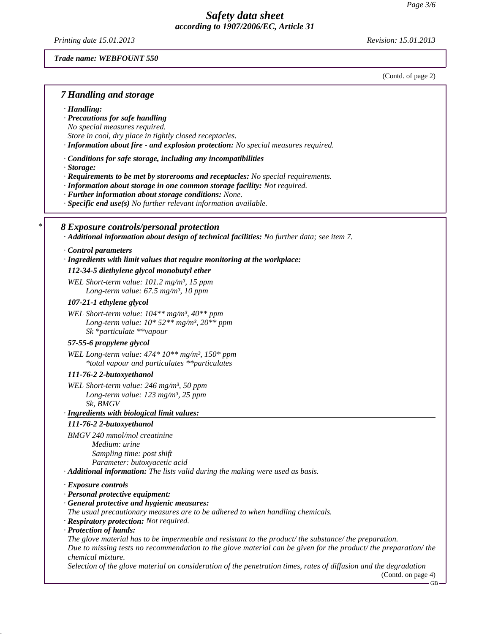*Printing date 15.01.2013 Revision: 15.01.2013*

#### *Trade name: WEBFOUNT 550*

(Contd. of page 2)

#### *7 Handling and storage*

*· Handling:*

## *· Precautions for safe handling*

*No special measures required.*

*Store in cool, dry place in tightly closed receptacles.*

*· Information about fire - and explosion protection: No special measures required.*

*· Conditions for safe storage, including any incompatibilities*

- *· Storage:*
- *· Requirements to be met by storerooms and receptacles: No special requirements.*
- *· Information about storage in one common storage facility: Not required.*
- *· Further information about storage conditions: None.*
- *· Specific end use(s) No further relevant information available.*

### *\* 8 Exposure controls/personal protection*

*· Additional information about design of technical facilities: No further data; see item 7.*

#### *· Control parameters*

*· Ingredients with limit values that require monitoring at the workplace:* 

#### *112-34-5 diethylene glycol monobutyl ether*

*WEL Short-term value: 101.2 mg/m³, 15 ppm Long-term value: 67.5 mg/m³, 10 ppm*

#### *107-21-1 ethylene glycol*

*WEL Short-term value: 104\*\* mg/m³, 40\*\* ppm Long-term value: 10\* 52\*\* mg/m³, 20\*\* ppm Sk \*particulate \*\*vapour*

### *57-55-6 propylene glycol*

*WEL Long-term value: 474\* 10\*\* mg/m³, 150\* ppm \*total vapour and particulates \*\*particulates*

#### *111-76-2 2-butoxyethanol*

*WEL Short-term value: 246 mg/m³, 50 ppm Long-term value: 123 mg/m³, 25 ppm Sk, BMGV*

#### *· Ingredients with biological limit values:*

#### *111-76-2 2-butoxyethanol*

*BMGV 240 mmol/mol creatinine Medium: urine Sampling time: post shift Parameter: butoxyacetic acid*

*· Additional information: The lists valid during the making were used as basis.*

#### *· Exposure controls*

#### *· Personal protective equipment:*

- *· General protective and hygienic measures:*
- *The usual precautionary measures are to be adhered to when handling chemicals.*
- *· Respiratory protection: Not required.*
- *· Protection of hands:*

*The glove material has to be impermeable and resistant to the product/ the substance/ the preparation. Due to missing tests no recommendation to the glove material can be given for the product/ the preparation/ the chemical mixture.*

*Selection of the glove material on consideration of the penetration times, rates of diffusion and the degradation*

(Contd. on page 4)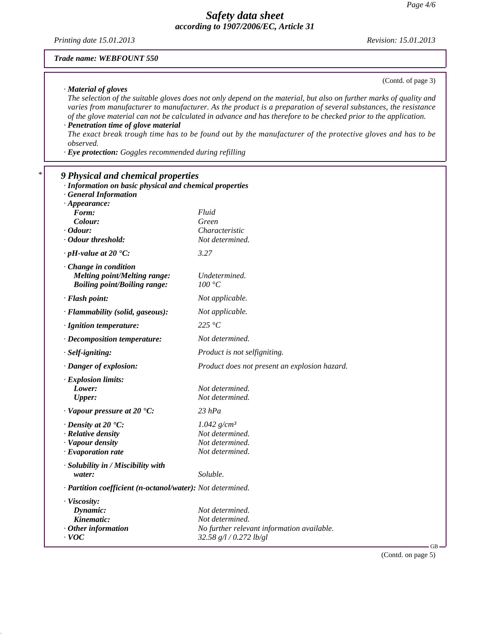*Printing date 15.01.2013 Revision: 15.01.2013*

(Contd. of page 3)

### *Trade name: WEBFOUNT 550*

#### *· Material of gloves*

*The selection of the suitable gloves does not only depend on the material, but also on further marks of quality and varies from manufacturer to manufacturer. As the product is a preparation of several substances, the resistance of the glove material can not be calculated in advance and has therefore to be checked prior to the application. · Penetration time of glove material*

*The exact break trough time has to be found out by the manufacturer of the protective gloves and has to be observed.*

*· Eye protection: Goggles recommended during refilling*

## *\* 9 Physical and chemical properties*

| · Information on basic physical and chemical properties    |                                               |    |
|------------------------------------------------------------|-----------------------------------------------|----|
| <b>General Information</b>                                 |                                               |    |
| $\cdot$ Appearance:                                        |                                               |    |
| <i>Form:</i>                                               | Fluid                                         |    |
| Colour:                                                    | Green                                         |    |
| $\cdot$ Odour:                                             | Characteristic                                |    |
| · Odour threshold:                                         | Not determined.                               |    |
| $\cdot$ pH-value at 20 $\textdegree$ C:                    | 3.27                                          |    |
| $\cdot$ Change in condition                                |                                               |    |
| <b>Melting point/Melting range:</b>                        | Undetermined.                                 |    |
| <b>Boiling point/Boiling range:</b>                        | 100 °C                                        |    |
| $\cdot$ Flash point:                                       | Not applicable.                               |    |
| · Flammability (solid, gaseous):                           | Not applicable.                               |    |
| · Ignition temperature:                                    | 225 $\degree$ C                               |    |
| · Decomposition temperature:                               | Not determined.                               |    |
| · Self-igniting:                                           | Product is not selfigniting.                  |    |
| · Danger of explosion:                                     | Product does not present an explosion hazard. |    |
| <b>Explosion limits:</b>                                   |                                               |    |
| Lower:                                                     | Not determined.                               |    |
| <b>Upper:</b>                                              | Not determined.                               |    |
| $\cdot$ Vapour pressure at 20 $\cdot$ C:                   | $23$ $hPa$                                    |    |
| $\cdot$ Density at 20 $\cdot$ C:                           | 1.042 $g/cm^3$                                |    |
| $\cdot$ Relative density                                   | Not determined.                               |    |
| · Vapour density                                           | Not determined.                               |    |
| $\cdot$ Evaporation rate                                   | Not determined.                               |    |
| · Solubility in / Miscibility with                         |                                               |    |
| water:                                                     | Soluble.                                      |    |
| · Partition coefficient (n-octanol/water): Not determined. |                                               |    |
| · Viscosity:                                               |                                               |    |
| Dynamic:                                                   | Not determined.                               |    |
| Kinematic:                                                 | Not determined.                               |    |
| $\cdot$ Other information                                  | No further relevant information available.    |    |
| $\cdot$ VOC                                                | 32.58 $g/l / 0.272$ lb/gl                     | GB |
|                                                            |                                               |    |

(Contd. on page 5)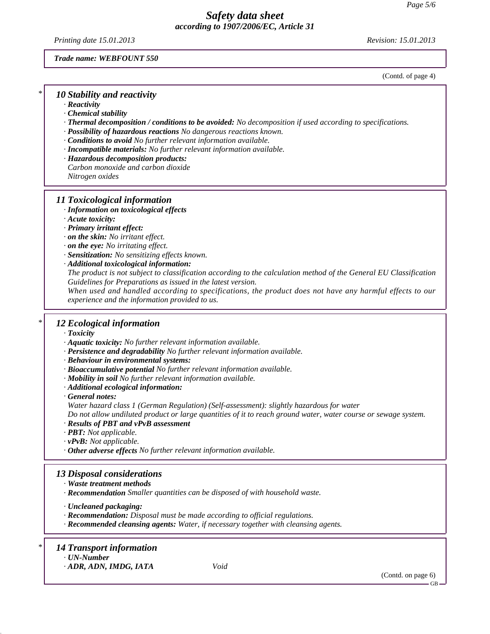*Printing date 15.01.2013 Revision: 15.01.2013*

### *Trade name: WEBFOUNT 550*

(Contd. of page 4)

# *\* 10 Stability and reactivity*

*· Reactivity*

- *· Chemical stability*
- *· Thermal decomposition / conditions to be avoided: No decomposition if used according to specifications.*
- *· Possibility of hazardous reactions No dangerous reactions known.*
- *· Conditions to avoid No further relevant information available.*
- *· Incompatible materials: No further relevant information available.*
- *· Hazardous decomposition products:*
- *Carbon monoxide and carbon dioxide*
- *Nitrogen oxides*

## *11 Toxicological information*

- *· Information on toxicological effects*
- *· Acute toxicity:*
- *· Primary irritant effect:*
- *· on the skin: No irritant effect.*
- *· on the eye: No irritating effect.*
- *· Sensitization: No sensitizing effects known.*
- *· Additional toxicological information:*

*The product is not subject to classification according to the calculation method of the General EU Classification Guidelines for Preparations as issued in the latest version.*

*When used and handled according to specifications, the product does not have any harmful effects to our experience and the information provided to us.*

## *\* 12 Ecological information*

- *· Toxicity*
- *· Aquatic toxicity: No further relevant information available.*
- *· Persistence and degradability No further relevant information available.*
- *· Behaviour in environmental systems:*
- *· Bioaccumulative potential No further relevant information available.*
- *· Mobility in soil No further relevant information available.*
- *· Additional ecological information:*
- *· General notes:*

*Water hazard class 1 (German Regulation) (Self-assessment): slightly hazardous for water*

*Do not allow undiluted product or large quantities of it to reach ground water, water course or sewage system.*

- *· Results of PBT and vPvB assessment*
- *· PBT: Not applicable.*
- *· vPvB: Not applicable.*
- *· Other adverse effects No further relevant information available.*

# *13 Disposal considerations*

- *· Waste treatment methods*
- *· Recommendation Smaller quantities can be disposed of with household waste.*

*· Uncleaned packaging:*

- *· Recommendation: Disposal must be made according to official regulations.*
- *· Recommended cleansing agents: Water, if necessary together with cleansing agents.*

## *\* 14 Transport information*

*· UN-Number*

*· ADR, ADN, IMDG, IATA Void*

(Contd. on page 6)